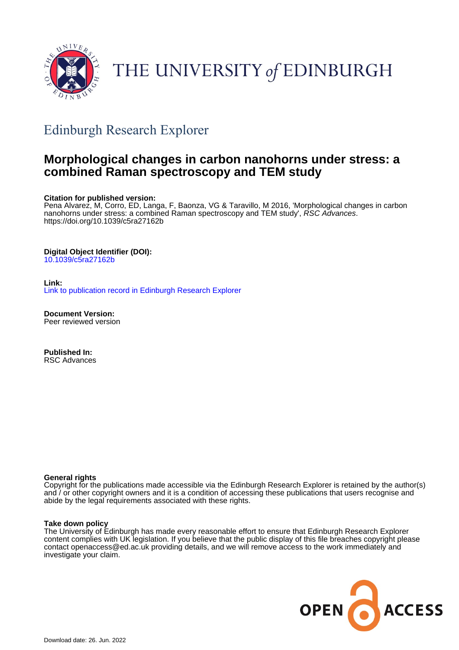

# THE UNIVERSITY of EDINBURGH

## Edinburgh Research Explorer

### **Morphological changes in carbon nanohorns under stress: a combined Raman spectroscopy and TEM study**

#### **Citation for published version:**

Pena Alvarez, M, Corro, ED, Langa, F, Baonza, VG & Taravillo, M 2016, 'Morphological changes in carbon nanohorns under stress: a combined Raman spectroscopy and TEM study', RSC Advances. <https://doi.org/10.1039/c5ra27162b>

#### **Digital Object Identifier (DOI):**

[10.1039/c5ra27162b](https://doi.org/10.1039/c5ra27162b)

#### **Link:** [Link to publication record in Edinburgh Research Explorer](https://www.research.ed.ac.uk/en/publications/e8323f40-b176-4cf0-8725-163e00c5d8b6)

**Document Version:** Peer reviewed version

**Published In:** RSC Advances

#### **General rights**

Copyright for the publications made accessible via the Edinburgh Research Explorer is retained by the author(s) and / or other copyright owners and it is a condition of accessing these publications that users recognise and abide by the legal requirements associated with these rights.

#### **Take down policy**

The University of Edinburgh has made every reasonable effort to ensure that Edinburgh Research Explorer content complies with UK legislation. If you believe that the public display of this file breaches copyright please contact openaccess@ed.ac.uk providing details, and we will remove access to the work immediately and investigate your claim.

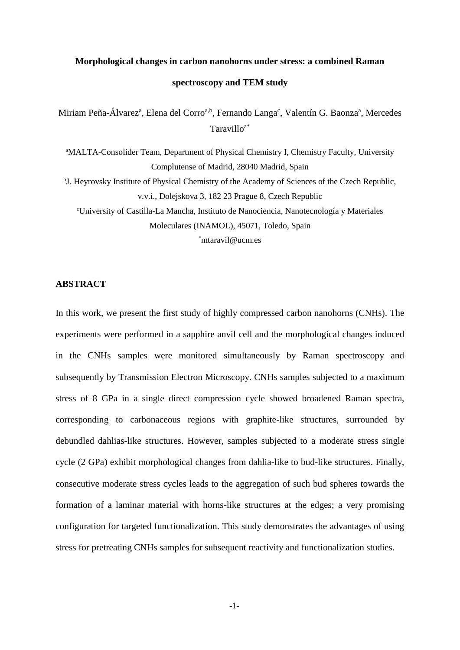## **Morphological changes in carbon nanohorns under stress: a combined Raman spectroscopy and TEM study**

Miriam Peña-Álvarez<sup>a</sup>, Elena del Corro<sup>a,b</sup>, Fernando Langa<sup>c</sup>, Valentín G. Baonza<sup>a</sup>, Mercedes Taravilloa\*

<sup>a</sup>MALTA-Consolider Team, Department of Physical Chemistry I, Chemistry Faculty, University Complutense of Madrid, 28040 Madrid, Spain

<sup>b</sup>J. Heyrovsky Institute of Physical Chemistry of the Academy of Sciences of the Czech Republic, v.v.i., Dolejskova 3, 182 23 Prague 8, Czech Republic

<sup>c</sup>University of Castilla-La Mancha, Instituto de Nanociencia, Nanotecnología y Materiales Moleculares (INAMOL), 45071, Toledo, Spain

\*mtaravil@ucm.es

#### **ABSTRACT**

In this work, we present the first study of highly compressed carbon nanohorns (CNHs). The experiments were performed in a sapphire anvil cell and the morphological changes induced in the CNHs samples were monitored simultaneously by Raman spectroscopy and subsequently by Transmission Electron Microscopy. CNHs samples subjected to a maximum stress of 8 GPa in a single direct compression cycle showed broadened Raman spectra, corresponding to carbonaceous regions with graphite-like structures, surrounded by debundled dahlias-like structures. However, samples subjected to a moderate stress single cycle (2 GPa) exhibit morphological changes from dahlia-like to bud-like structures. Finally, consecutive moderate stress cycles leads to the aggregation of such bud spheres towards the formation of a laminar material with horns-like structures at the edges; a very promising configuration for targeted functionalization. This study demonstrates the advantages of using stress for pretreating CNHs samples for subsequent reactivity and functionalization studies.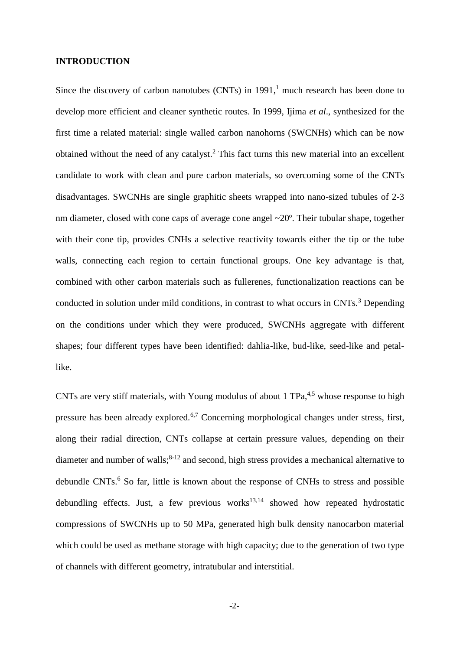#### **INTRODUCTION**

<span id="page-2-3"></span>Since the discovery of carbon nanotubes (CNTs) in 1991, <sup>1</sup> much research has been done to develop more efficient and cleaner synthetic routes. In 1999, Ijima *et al*., synthesized for the first time a related material: single walled carbon nanohorns (SWCNHs) which can be now obtained without the need of any catalyst. <sup>2</sup> This fact turns this new material into an excellent candidate to work with clean and pure carbon materials, so overcoming some of the CNTs disadvantages. SWCNHs are single graphitic sheets wrapped into nano-sized tubules of 2-3 nm diameter, closed with cone caps of average cone angel ~20°. Their tubular shape, together with their cone tip, provides CNHs a selective reactivity towards either the tip or the tube walls, connecting each region to certain functional groups. One key advantage is that, combined with other carbon materials such as fullerenes, functionalization reactions can be conducted in solution under mild conditions, in contrast to what occurs in CNTs.<sup>3</sup> Depending on the conditions under which they were produced, SWCNHs aggregate with different shapes; four different types have been identified: dahlia-like, bud-like, seed-like and petallike.

<span id="page-2-6"></span><span id="page-2-5"></span><span id="page-2-4"></span><span id="page-2-2"></span><span id="page-2-1"></span><span id="page-2-0"></span>CNTs are very stiff materials, with Young modulus of about 1  $TPa<sub>1</sub><sup>4,5</sup>$  whose response to high pressure has been already explored.6,7 Concerning morphological changes under stress, first, along their radial direction, CNTs collapse at certain pressure values, depending on their diameter and number of walls;<sup>8-12</sup> and second, high stress provides a mechanical alternative to debundle CNTs. [6](#page-2-0) So far, little is known about the response of CNHs to stress and possible debundling effects. Just, a few previous works $13,14$  showed how repeated hydrostatic compressions of SWCNHs up to 50 MPa, generated high bulk density nanocarbon material which could be used as methane storage with high capacity; due to the generation of two type of channels with different geometry, intratubular and interstitial.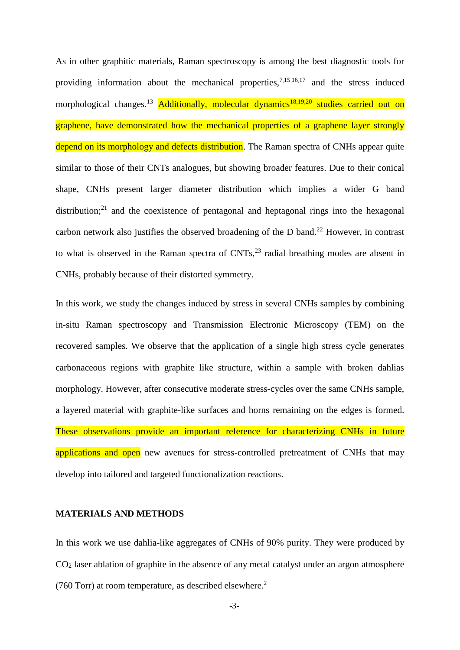<span id="page-3-1"></span>As in other graphitic materials, Raman spectroscopy is among the best diagnostic tools for providing information about the mechanical properties,  $7,15,16,17$  $7,15,16,17$  and the stress induced morphological changes.<sup>[13](#page-2-2)</sup> Additionally, molecular dynamics<sup>18,19,20</sup> studies carried out on graphene, have demonstrated how the mechanical properties of a graphene layer strongly depend on its morphology and defects distribution. The Raman spectra of CNHs appear quite similar to those of their CNTs analogues, but showing broader features. Due to their conical shape, CNHs present larger diameter distribution which implies a wider G band distribution; $21$  and the coexistence of pentagonal and heptagonal rings into the hexagonal carbon network also justifies the observed broadening of the D band.<sup>22</sup> However, in contrast to what is observed in the Raman spectra of  $CNTs$ ,  $2<sup>3</sup>$  radial breathing modes are absent in CNHs, probably because of their distorted symmetry.

<span id="page-3-0"></span>In this work, we study the changes induced by stress in several CNHs samples by combining in-situ Raman spectroscopy and Transmission Electronic Microscopy (TEM) on the recovered samples. We observe that the application of a single high stress cycle generates carbonaceous regions with graphite like structure, within a sample with broken dahlias morphology. However, after consecutive moderate stress-cycles over the same CNHs sample, a layered material with graphite-like surfaces and horns remaining on the edges is formed. These observations provide an important reference for characterizing CNHs in future applications and open new avenues for stress-controlled pretreatment of CNHs that may develop into tailored and targeted functionalization reactions.

#### **MATERIALS AND METHODS**

In this work we use dahlia-like aggregates of CNHs of 90% purity. They were produced by  $CO<sub>2</sub>$  laser ablation of graphite in the absence of any metal catalyst under an argon atmosphere (760 Torr) at room temperature, as described elsewhere. [2](#page-2-3)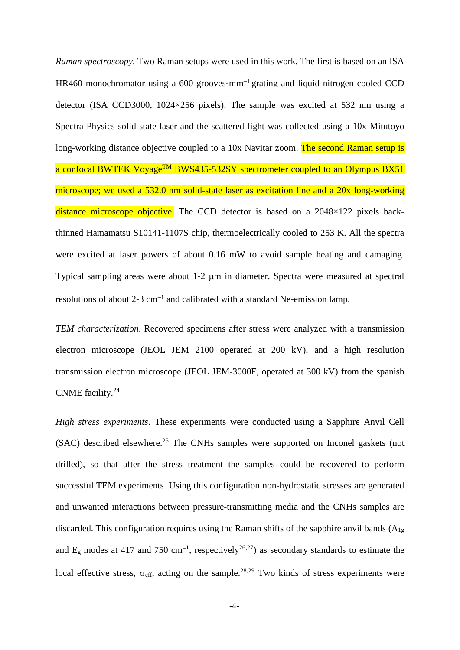*Raman spectroscopy*. Two Raman setups were used in this work. The first is based on an ISA HR460 monochromator using a 600 grooves·mm<sup>-1</sup> grating and liquid nitrogen cooled CCD detector (ISA CCD3000, 1024×256 pixels). The sample was excited at 532 nm using a Spectra Physics solid-state laser and the scattered light was collected using a 10x Mitutoyo long-working distance objective coupled to a 10x Navitar zoom. The second Raman setup is a confocal BWTEK Voyage<sup>TM</sup> BWS435-532SY spectrometer coupled to an Olympus BX51 microscope; we used a 532.0 nm solid-state laser as excitation line and a 20x long-working distance microscope objective. The CCD detector is based on a 2048×122 pixels backthinned Hamamatsu S10141-1107S chip, thermoelectrically cooled to 253 K. All the spectra were excited at laser powers of about 0.16 mW to avoid sample heating and damaging. Typical sampling areas were about 1-2  $\mu$ m in diameter. Spectra were measured at spectral resolutions of about 2-3 cm<sup>-1</sup> and calibrated with a standard Ne-emission lamp.

*TEM characterization*. Recovered specimens after stress were analyzed with a transmission electron microscope (JEOL JEM 2100 operated at 200 kV), and a high resolution transmission electron microscope (JEOL JEM-3000F, operated at 300 kV) from the spanish CNME facility. 24

*High stress experiments*. These experiments were conducted using a Sapphire Anvil Cell (SAC) described elsewhere. <sup>25</sup> The CNHs samples were supported on Inconel gaskets (not drilled), so that after the stress treatment the samples could be recovered to perform successful TEM experiments. Using this configuration non-hydrostatic stresses are generated and unwanted interactions between pressure-transmitting media and the CNHs samples are discarded. This configuration requires using the Raman shifts of the sapphire anvil bands  $(A_{1g})$ and E<sub>g</sub> modes at 417 and 750 cm<sup>-1</sup>, respectively<sup>26,27</sup>) as secondary standards to estimate the local effective stress,  $\sigma_{\text{eff}}$ , acting on the sample.<sup>28,29</sup> Two kinds of stress experiments were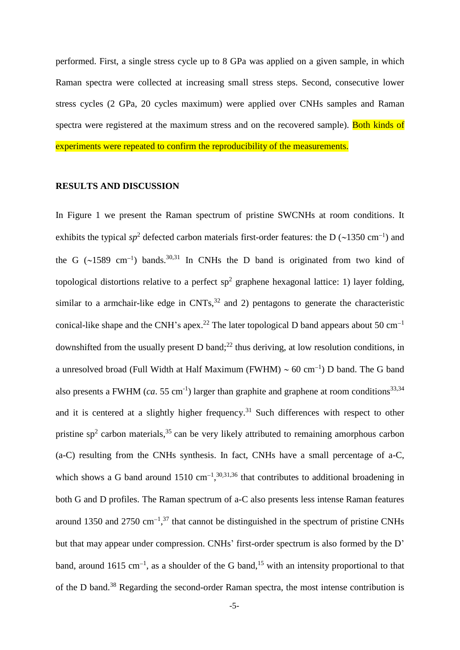performed. First, a single stress cycle up to 8 GPa was applied on a given sample, in which Raman spectra were collected at increasing small stress steps. Second, consecutive lower stress cycles (2 GPa, 20 cycles maximum) were applied over CNHs samples and Raman spectra were registered at the maximum stress and on the recovered sample). Both kinds of experiments were repeated to confirm the reproducibility of the measurements.

#### **RESULTS AND DISCUSSION**

<span id="page-5-3"></span><span id="page-5-2"></span><span id="page-5-1"></span><span id="page-5-0"></span>In Figure 1 we present the Raman spectrum of pristine SWCNHs at room conditions. It exhibits the typical  $sp^2$  defected carbon materials first-order features: the D (~1350 cm<sup>-1</sup>) and the G (~1589 cm<sup>-1</sup>) bands.<sup>30,31</sup> In CNHs the D band is originated from two kind of topological distortions relative to a perfect  $sp^2$  graphene hexagonal lattice: 1) layer folding, similar to a armchair-like edge in  $CNTs$ ,  $32$  and 2) pentagons to generate the characteristic conical-like shape and the CNH's apex.<sup>[22](#page-3-0)</sup> The later topological D band appears about 50 cm<sup>-1</sup> downshifted from the usually present D band; $^{22}$  $^{22}$  $^{22}$  thus deriving, at low resolution conditions, in a unresolved broad (Full Width at Half Maximum (FWHM)  $\sim$  60 cm<sup>-1</sup>) D band. The G band also presents a FWHM (*ca.* 55 cm<sup>-1</sup>) larger than graphite and graphene at room conditions<sup>33,34</sup> and it is centered at a slightly higher frequency.<sup>[31](#page-5-0)</sup> Such differences with respect to other pristine  $sp<sup>2</sup>$  carbon materials,<sup>35</sup> can be very likely attributed to remaining amorphous carbon (a-C) resulting from the CNHs synthesis. In fact, CNHs have a small percentage of a-C, which shows a G band around  $1510 \text{ cm}^{-1}$ ,  $30,31,36$  $30,31,36$  $30,31,36$  $30,31,36$  that contributes to additional broadening in both G and D profiles. The Raman spectrum of a-C also presents less intense Raman features around 1350 and 2750  $\text{cm}^{-1}$ ,<sup>37</sup> that cannot be distinguished in the spectrum of pristine CNHs but that may appear under compression. CNHs' first-order spectrum is also formed by the D' band, around 16[15](#page-3-1) cm<sup>-1</sup>, as a shoulder of the G band,<sup>15</sup> with an intensity proportional to that of the D band. <sup>38</sup> Regarding the second-order Raman spectra, the most intense contribution is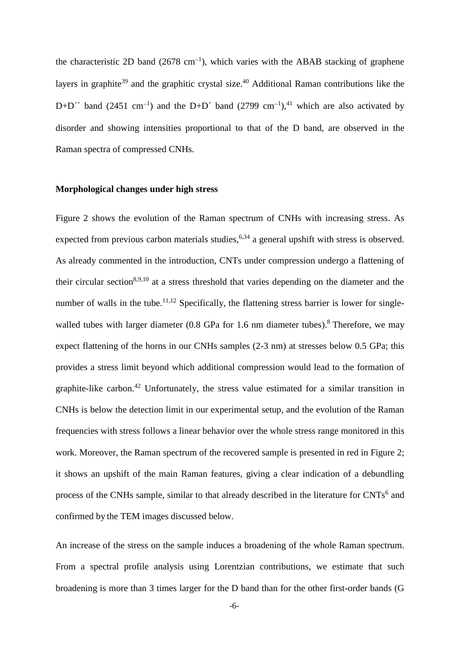the characteristic 2D band (2678 cm<sup>-1</sup>), which varies with the ABAB stacking of graphene layers in graphite<sup>39</sup> and the graphitic crystal size.<sup>40</sup> Additional Raman contributions like the D+D<sup> $\prime\prime$ </sup> band (2451 cm<sup>-1</sup>) and the D+D<sup> $\prime$ </sup> band (2799 cm<sup>-1</sup>),<sup>41</sup> which are also activated by disorder and showing intensities proportional to that of the D band, are observed in the Raman spectra of compressed CNHs.

#### **Morphological changes under high stress**

Figure 2 shows the evolution of the Raman spectrum of CNHs with increasing stress. As expected from previous carbon materials studies,  $6,34$  $6,34$  a general upshift with stress is observed. As already commented in the introduction, CNTs under compression undergo a flattening of their circular section<sup>[8,](#page-2-4)[9,10](#page-2-5)</sup> at a stress threshold that varies depending on the diameter and the number of walls in the tube.<sup>[11,12](#page-2-5)</sup> Specifically, the flattening stress barrier is lower for singlewalled tubes with larger diameter  $(0.8 \text{ GPa}$  $(0.8 \text{ GPa}$  $(0.8 \text{ GPa}$  for 1.6 nm diameter tubes).<sup>8</sup> Therefore, we may expect flattening of the horns in our CNHs samples (2-3 nm) at stresses below 0.5 GPa; this provides a stress limit beyond which additional compression would lead to the formation of graphite-like carbon.<sup>42</sup> Unfortunately, the stress value estimated for a similar transition in CNHs is below the detection limit in our experimental setup, and the evolution of the Raman frequencies with stress follows a linear behavior over the whole stress range monitored in this work. Moreover, the Raman spectrum of the recovered sample is presented in red in Figure 2; it shows an upshift of the main Raman features, giving a clear indication of a debundling process of the CNHs sample, similar to that already described in the literature for CNTs<sup>[6](#page-2-0)</sup> and confirmed by the TEM images discussed below.

An increase of the stress on the sample induces a broadening of the whole Raman spectrum. From a spectral profile analysis using Lorentzian contributions, we estimate that such broadening is more than 3 times larger for the D band than for the other first-order bands (G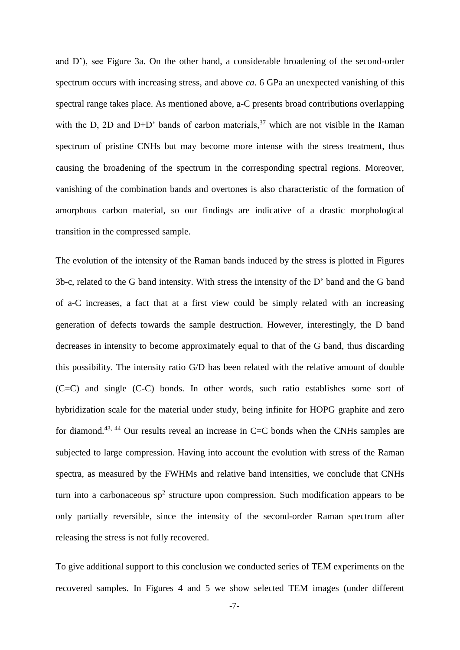and D'), see Figure 3a. On the other hand, a considerable broadening of the second-order spectrum occurs with increasing stress, and above *ca*. 6 GPa an unexpected vanishing of this spectral range takes place. As mentioned above, a-C presents broad contributions overlapping with the D, 2D and D+D' bands of carbon materials,  $37$  which are not visible in the Raman spectrum of pristine CNHs but may become more intense with the stress treatment, thus causing the broadening of the spectrum in the corresponding spectral regions. Moreover, vanishing of the combination bands and overtones is also characteristic of the formation of amorphous carbon material, so our findings are indicative of a drastic morphological transition in the compressed sample.

<span id="page-7-0"></span>The evolution of the intensity of the Raman bands induced by the stress is plotted in Figures 3b-c, related to the G band intensity. With stress the intensity of the D' band and the G band of a-C increases, a fact that at a first view could be simply related with an increasing generation of defects towards the sample destruction. However, interestingly, the D band decreases in intensity to become approximately equal to that of the G band, thus discarding this possibility. The intensity ratio G/D has been related with the relative amount of double (C=C) and single (C-C) bonds. In other words, such ratio establishes some sort of hybridization scale for the material under study, being infinite for HOPG graphite and zero for diamond.<sup>43, 44</sup> Our results reveal an increase in  $C=C$  bonds when the CNHs samples are subjected to large compression. Having into account the evolution with stress of the Raman spectra, as measured by the FWHMs and relative band intensities, we conclude that CNHs turn into a carbonaceous  $sp^2$  structure upon compression. Such modification appears to be only partially reversible, since the intensity of the second-order Raman spectrum after releasing the stress is not fully recovered.

<span id="page-7-1"></span>To give additional support to this conclusion we conducted series of TEM experiments on the recovered samples. In Figures 4 and 5 we show selected TEM images (under different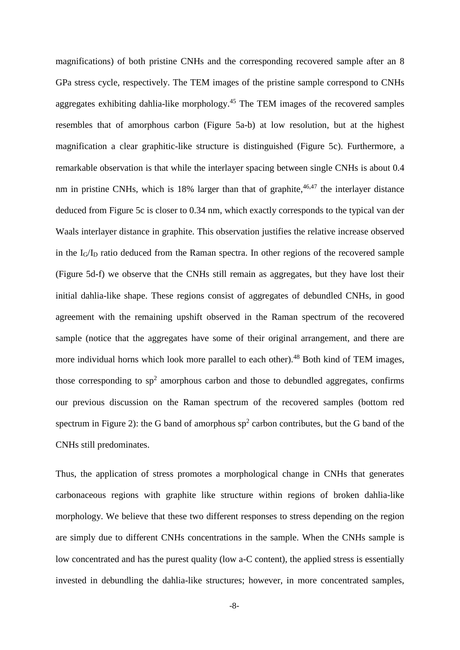<span id="page-8-0"></span>magnifications) of both pristine CNHs and the corresponding recovered sample after an 8 GPa stress cycle, respectively. The TEM images of the pristine sample correspond to CNHs aggregates exhibiting dahlia-like morphology. <sup>45</sup> The TEM images of the recovered samples resembles that of amorphous carbon (Figure 5a-b) at low resolution, but at the highest magnification a clear graphitic-like structure is distinguished (Figure 5c). Furthermore, a remarkable observation is that while the interlayer spacing between single CNHs is about 0.4 nm in pristine CNHs, which is 18% larger than that of graphite, <sup>46,47</sup> the interlayer distance deduced from Figure 5c is closer to 0.34 nm, which exactly corresponds to the typical van der Waals interlayer distance in graphite. This observation justifies the relative increase observed in the  $I_G/I_D$  ratio deduced from the Raman spectra. In other regions of the recovered sample (Figure 5d-f) we observe that the CNHs still remain as aggregates, but they have lost their initial dahlia-like shape. These regions consist of aggregates of debundled CNHs, in good agreement with the remaining upshift observed in the Raman spectrum of the recovered sample (notice that the aggregates have some of their original arrangement, and there are more individual horns which look more parallel to each other).<sup>48</sup> Both kind of TEM images, those corresponding to  $sp^2$  amorphous carbon and those to debundled aggregates, confirms our previous discussion on the Raman spectrum of the recovered samples (bottom red spectrum in Figure 2): the G band of amorphous  $sp<sup>2</sup>$  carbon contributes, but the G band of the CNHs still predominates.

Thus, the application of stress promotes a morphological change in CNHs that generates carbonaceous regions with graphite like structure within regions of broken dahlia-like morphology. We believe that these two different responses to stress depending on the region are simply due to different CNHs concentrations in the sample. When the CNHs sample is low concentrated and has the purest quality (low a-C content), the applied stress is essentially invested in debundling the dahlia-like structures; however, in more concentrated samples,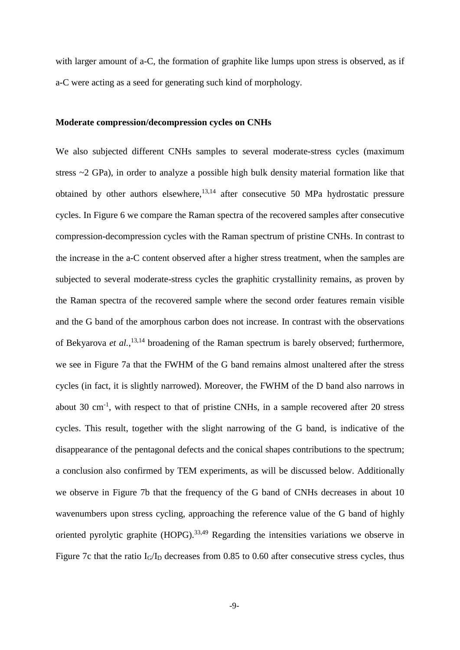with larger amount of a-C, the formation of graphite like lumps upon stress is observed, as if a-C were acting as a seed for generating such kind of morphology.

#### **Moderate compression/decompression cycles on CNHs**

We also subjected different CNHs samples to several moderate-stress cycles (maximum stress ~2 GPa), in order to analyze a possible high bulk density material formation like that obtained by other authors elsewhere,  $13,14$  $13,14$  after consecutive 50 MPa hydrostatic pressure cycles. In Figure 6 we compare the Raman spectra of the recovered samples after consecutive compression-decompression cycles with the Raman spectrum of pristine CNHs. In contrast to the increase in the a-C content observed after a higher stress treatment, when the samples are subjected to several moderate-stress cycles the graphitic crystallinity remains, as proven by the Raman spectra of the recovered sample where the second order features remain visible and the G band of the amorphous carbon does not increase. In contrast with the observations of Bekyarova *et al.*, [13,](#page-2-2)[14](#page-2-6) broadening of the Raman spectrum is barely observed; furthermore, we see in Figure 7a that the FWHM of the G band remains almost unaltered after the stress cycles (in fact, it is slightly narrowed). Moreover, the FWHM of the D band also narrows in about 30  $\text{cm}^{-1}$ , with respect to that of pristine CNHs, in a sample recovered after 20 stress cycles. This result, together with the slight narrowing of the G band, is indicative of the disappearance of the pentagonal defects and the conical shapes contributions to the spectrum; a conclusion also confirmed by TEM experiments, as will be discussed below. Additionally we observe in Figure 7b that the frequency of the G band of CNHs decreases in about 10 wavenumbers upon stress cycling, approaching the reference value of the G band of highly oriented pyrolytic graphite (HOPG).<sup>[33,](#page-5-3)[49](#page-10-0)</sup> Regarding the intensities variations we observe in Figure 7c that the ratio  $I_G/I_D$  decreases from 0.85 to 0.60 after consecutive stress cycles, thus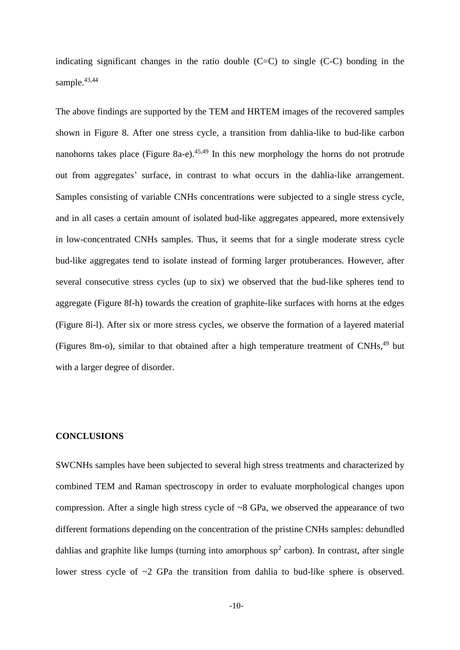indicating significant changes in the ratio double  $(C= C)$  to single  $(C-C)$  bonding in the sample.<sup>[43](#page-7-0)[,44](#page-7-1)</sup>

<span id="page-10-0"></span>The above findings are supported by the TEM and HRTEM images of the recovered samples shown in Figure 8. After one stress cycle, a transition from dahlia-like to bud-like carbon nanohorns takes place (Figure 8a-e).<sup>[45,4](#page-8-0)9</sup> In this new morphology the horns do not protrude out from aggregates' surface, in contrast to what occurs in the dahlia-like arrangement. Samples consisting of variable CNHs concentrations were subjected to a single stress cycle, and in all cases a certain amount of isolated bud-like aggregates appeared, more extensively in low-concentrated CNHs samples. Thus, it seems that for a single moderate stress cycle bud-like aggregates tend to isolate instead of forming larger protuberances. However, after several consecutive stress cycles (up to six) we observed that the bud-like spheres tend to aggregate (Figure 8f-h) towards the creation of graphite-like surfaces with horns at the edges (Figure 8i-l). After six or more stress cycles, we observe the formation of a layered material (Figures 8m-o), similar to that obtained after a high temperature treatment of CNHs, [49](#page-10-0) but with a larger degree of disorder.

#### **CONCLUSIONS**

SWCNHs samples have been subjected to several high stress treatments and characterized by combined TEM and Raman spectroscopy in order to evaluate morphological changes upon compression. After a single high stress cycle of ~8 GPa, we observed the appearance of two different formations depending on the concentration of the pristine CNHs samples: debundled dahlias and graphite like lumps (turning into amorphous  $sp<sup>2</sup>$  carbon). In contrast, after single lower stress cycle of ~2 GPa the transition from dahlia to bud-like sphere is observed.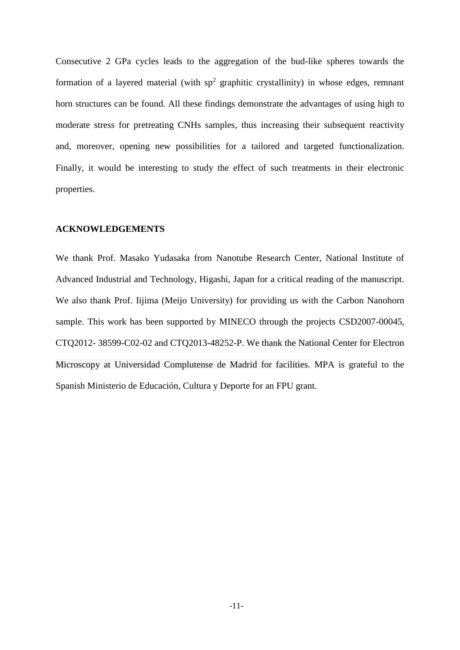Consecutive 2 GPa cycles leads to the aggregation of the bud-like spheres towards the formation of a layered material (with  $sp^2$  graphitic crystallinity) in whose edges, remnant horn structures can be found. All these findings demonstrate the advantages of using high to moderate stress for pretreating CNHs samples, thus increasing their subsequent reactivity and, moreover, opening new possibilities for a tailored and targeted functionalization. Finally, it would be interesting to study the effect of such treatments in their electronic properties.

#### **ACKNOWLEDGEMENTS**

We thank Prof. Masako Yudasaka from Nanotube Research Center, National Institute of Advanced Industrial and Technology, Higashi, Japan for a critical reading of the manuscript. We also thank Prof. Iijima (Meijo University) for providing us with the Carbon Nanohorn sample. This work has been supported by MINECO through the projects CSD2007-00045, CTQ2012- 38599-C02-02 and CTQ2013-48252-P. We thank the National Center for Electron Microscopy at Universidad Complutense de Madrid for facilities. MPA is grateful to the Spanish Ministerio de Educación, Cultura y Deporte for an FPU grant.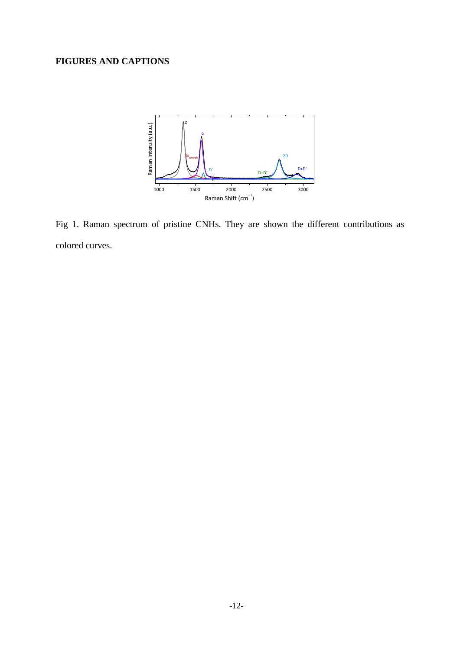### **FIGURES AND CAPTIONS**



Fig 1. Raman spectrum of pristine CNHs. They are shown the different contributions as colored curves.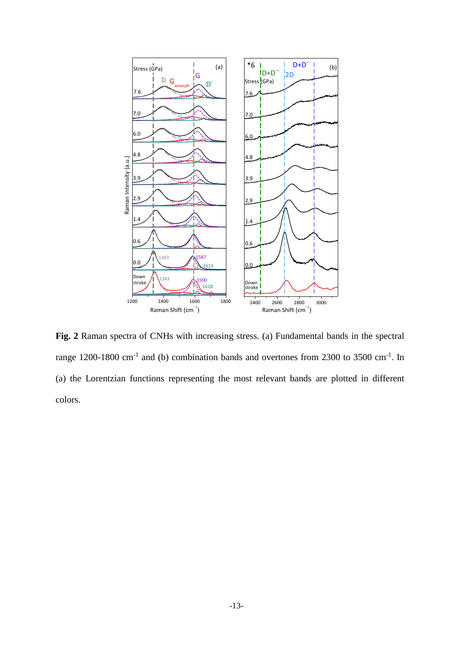

**Fig. 2** Raman spectra of CNHs with increasing stress. (a) Fundamental bands in the spectral range 1200-1800 cm<sup>-1</sup> and (b) combination bands and overtones from 2300 to 3500 cm<sup>-1</sup>. In (a) the Lorentzian functions representing the most relevant bands are plotted in different colors.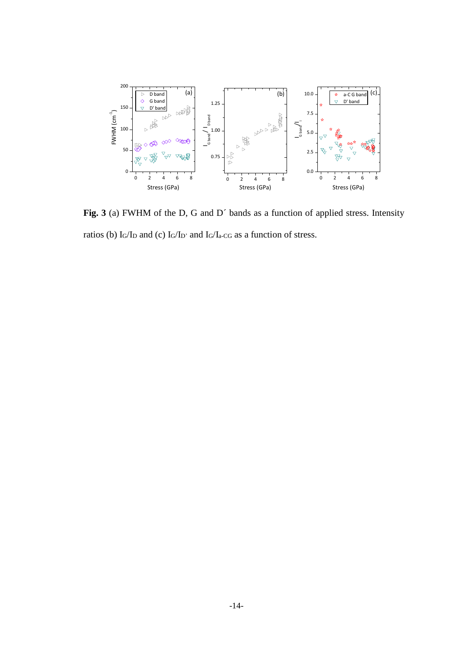

Fig. 3 (a) FWHM of the D, G and D' bands as a function of applied stress. Intensity ratios (b)  $I_G/I_D$  and (c)  $I_G/I_D$ ' and  $I_G/I_{a\text{-}CG}$  as a function of stress.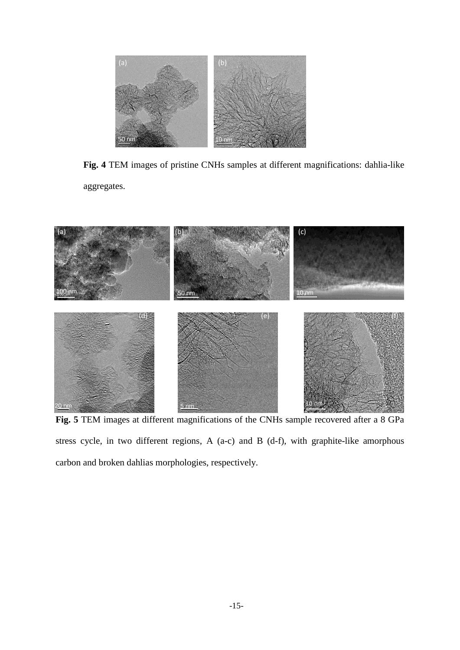

**Fig. 4** TEM images of pristine CNHs samples at different magnifications: dahlia-like aggregates.



**Fig. 5** TEM images at different magnifications of the CNHs sample recovered after a 8 GPa stress cycle, in two different regions, A (a-c) and B (d-f), with graphite-like amorphous carbon and broken dahlias morphologies, respectively.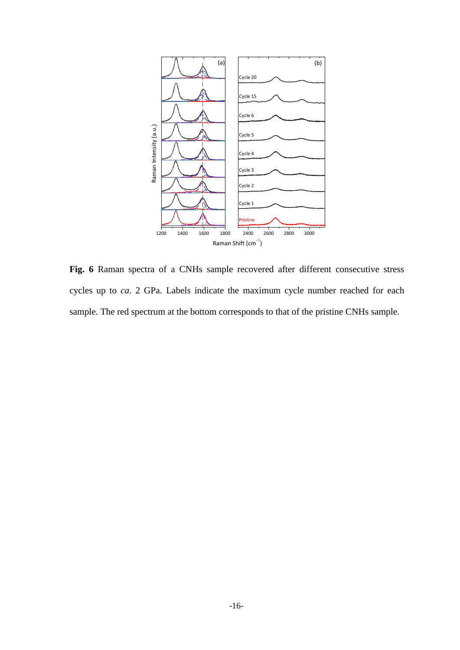

**Fig. 6** Raman spectra of a CNHs sample recovered after different consecutive stress cycles up to *ca*. 2 GPa. Labels indicate the maximum cycle number reached for each sample. The red spectrum at the bottom corresponds to that of the pristine CNHs sample.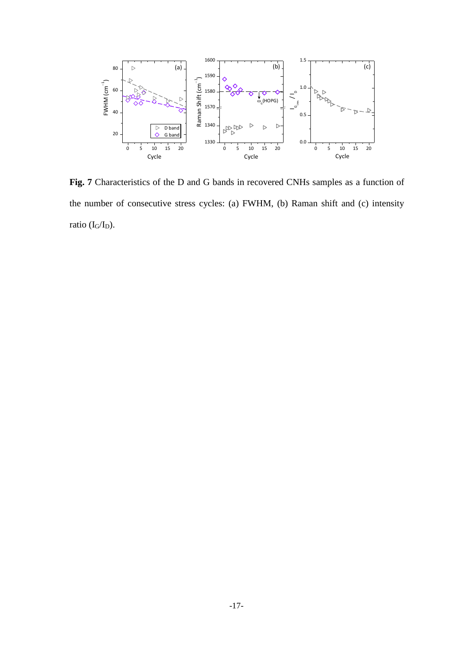

**Fig. 7** Characteristics of the D and G bands in recovered CNHs samples as a function of the number of consecutive stress cycles: (a) FWHM, (b) Raman shift and (c) intensity ratio (I<sub>G</sub>/I<sub>D</sub>).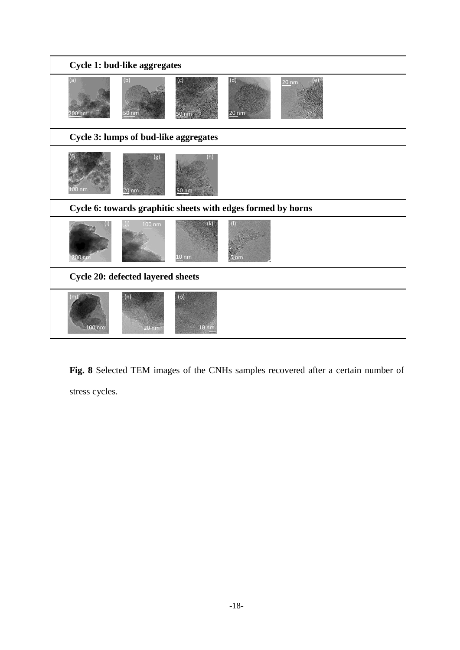| Cycle 1: bud-like aggregates                                 |                  |                                 |                |         |
|--------------------------------------------------------------|------------------|---------------------------------|----------------|---------|
| (a)<br>200 nm                                                | (b)              | (c)                             | (d)<br>$20$ nm | $20$ nm |
| Cycle 3: lumps of bud-like aggregates                        |                  |                                 |                |         |
| nm                                                           | (g)<br>20 nm     | (h)<br>50 nm                    |                |         |
| Cycle 6: towards graphitic sheets with edges formed by horns |                  |                                 |                |         |
| 00 n                                                         | $100 \text{ nm}$ | $\mathbf k$<br>10 <sub>nm</sub> | Ealan          |         |
| Cycle 20: defected layered sheets                            |                  |                                 |                |         |
| $100$ nm                                                     | (n)<br>20 nm     | (o)<br>$10 \text{ nm}$          |                |         |

**Fig. 8** Selected TEM images of the CNHs samples recovered after a certain number of stress cycles.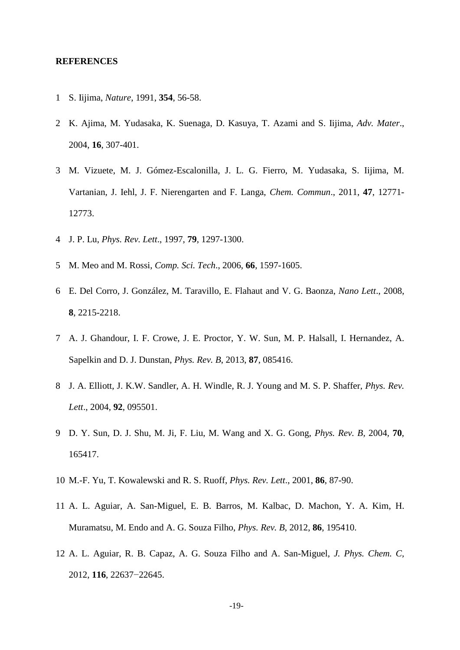#### **REFERENCES**

- 1 S. Iijima, *Nature*, 1991, **354**, 56-58.
- 2 K. Ajima, M. Yudasaka, K. Suenaga, D. Kasuya, T. Azami and S. Iijima, *Adv. Mater*., 2004, **16**, 307-401.
- 3 M. Vizuete, M. J. Gómez-Escalonilla, J. L. G. Fierro, M. Yudasaka, S. Iijima, M. Vartanian, J. Iehl, J. F. Nierengarten and F. Langa, *Chem. Commun*., 2011, **47**, 12771- 12773.
- 4 J. P. Lu, *Phys. Rev. Lett*., 1997, **79**, 1297-1300.
- 5 M. Meo and M. Rossi, *Comp. Sci. Tech*., 2006, **66**, 1597-1605.
- 6 E. Del Corro, J. González, M. Taravillo, E. Flahaut and V. G. Baonza, *Nano Lett*., 2008, **8**, 2215-2218.
- 7 A. J. Ghandour, I. F. Crowe, J. E. Proctor, Y. W. Sun, M. P. Halsall, I. Hernandez, A. Sapelkin and D. J. Dunstan, *Phys. Rev. B*, 2013, **87**, 085416.
- 8 J. A. Elliott, J. K.W. Sandler, A. H. Windle, R. J. Young and M. S. P. Shaffer, *Phys. Rev. Lett*., 2004, **92**, 095501.
- 9 D. Y. Sun, D. J. Shu, M. Ji, F. Liu, M. Wang and X. G. Gong, *Phys. Rev. B,* 2004*,* **70**, 165417.
- 10 M.-F. Yu, T. Kowalewski and R. S. Ruoff, *Phys. Rev. Lett*., 2001, **86**, 87-90.
- 11 A. L. Aguiar, A. San-Miguel, E. B. Barros, M. Kalbac, D. Machon, Y. A. Kim, H. Muramatsu, M. Endo and A. G. Souza Filho, *Phys. Rev. B*, 2012, **86**, 195410.
- 12 A. L. Aguiar, R. B. Capaz, A. G. Souza Filho and A. San-Miguel, *J. Phys. Chem. C,* 2012, **116**, 22637−22645.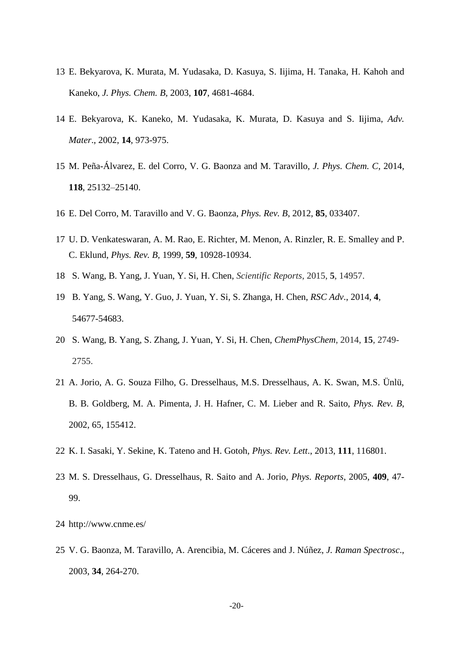- 13 E. Bekyarova, K. Murata, M. Yudasaka, D. Kasuya, S. Iijima, H. Tanaka, H. Kahoh and Kaneko, *J. Phys. Chem. B,* 2003, **107**, 4681-4684.
- 14 E. Bekyarova, K. Kaneko, M. Yudasaka, K. Murata, D. Kasuya and S. Iijima, *Adv. Mater*., 2002, **14**, 973-975.
- 15 M. Peña-Álvarez, E. del Corro, V. G. Baonza and M. Taravillo, *J. Phys. Chem. C*, 2014, **118**, 25132–25140.
- 16 E. Del Corro, M. Taravillo and V. G. Baonza, *Phys. Rev. B*, 2012, **85**, 033407.
- 17 U. D. Venkateswaran, A. M. Rao, E. Richter, M. Menon, A. Rinzler, R. E. Smalley and P. C. Eklund, *Phys. Rev. B,* 1999, **59**, 10928-10934.
- 18 S. Wang, B. Yang, J. Yuan, Y. Si, H. Chen, *Scientific Reports*, 2015, **5**, 14957.
- 19 B. Yang, S. Wang, Y. Guo, J. Yuan, Y. Si, S. Zhanga, H. Chen, *RSC Adv*., 2014, **4**, 54677-54683.
- 20 S. Wang, B. Yang, S. Zhang, J. Yuan, Y. Si, H. Chen, *ChemPhysChem*, 2014, **15**, 2749- 2755.
- 21 A. Jorio, A. G. Souza Filho, G. Dresselhaus, M.S. Dresselhaus, A. K. Swan, M.S. Ünlü, B. B. Goldberg, M. A. Pimenta, J. H. Hafner, C. M. Lieber and R. Saito, *Phys. Rev. B*, 2002, 65, 155412.
- 22 K. I. Sasaki, Y. Sekine, K. Tateno and H. Gotoh, *Phys. Rev. Lett*., 2013, **111**, 116801.
- 23 M. S. Dresselhaus, G. Dresselhaus, R. Saito and A. Jorio, *Phys. Reports*, 2005, **409**, 47- 99.
- 24 http://www.cnme.es/
- 25 V. G. Baonza, M. Taravillo, A. Arencibia, M. Cáceres and J. Núñez, *J. Raman Spectrosc*., 2003, **34**, 264-270.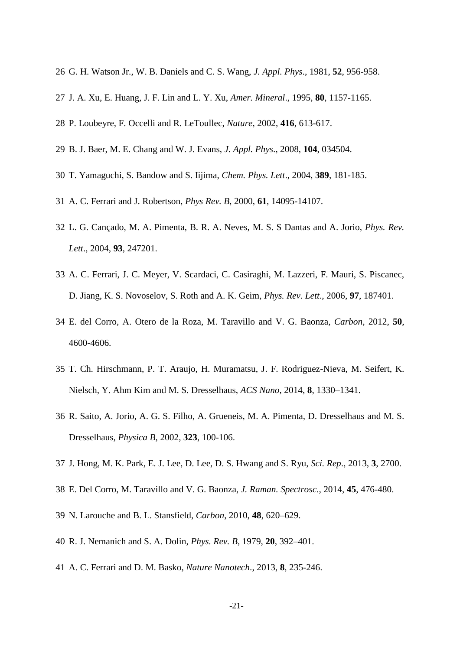- G. H. Watson Jr., W. B. Daniels and C. S. Wang, *J. Appl. Phys*., 1981, **52**, 956-958.
- J. A. Xu, E. Huang, J. F. Lin and L. Y. Xu, *Amer. Mineral*., 1995, **80**, 1157-1165.
- P. Loubeyre, F. Occelli and R. LeToullec, *Nature*, 2002, **416**, 613-617.
- B. J. Baer, M. E. Chang and W. J. Evans, *J. Appl. Phys*., 2008, **104**, 034504.
- T. Yamaguchi, S. Bandow and S. Iijima, *Chem. Phys. Lett*., 2004, **389**, 181-185.
- A. C. Ferrari and J. Robertson, *Phys Rev. B*, 2000, **61**, 14095-14107.
- L. G. Cançado, M. A. Pimenta, B. R. A. Neves, M. S. S Dantas and A. Jorio, *Phys. Rev. Lett*., 2004, **93**, 247201.
- A. C. Ferrari, J. C. Meyer, V. Scardaci, C. Casiraghi, M. Lazzeri, F. Mauri, S. Piscanec, D. Jiang, K. S. Novoselov, S. Roth and A. K. Geim, *Phys. Rev. Lett*., 2006, **97**, 187401.
- E. del Corro, A. Otero de la Roza, M. Taravillo and V. G. Baonza, *Carbon*, 2012, **50**, 4600-4606.
- T. Ch. Hirschmann, P. T. Araujo, H. Muramatsu, J. F. Rodriguez-Nieva, M. Seifert, K. Nielsch, Y. Ahm Kim and M. S. Dresselhaus, *ACS Nano,* 2014, **8**, 1330–1341.
- R. Saito, A. Jorio, A. G. S. Filho, A. Grueneis, M. A. Pimenta, D. Dresselhaus and M. S. Dresselhaus, *Physica B*, 2002, **323**, 100-106.
- J. Hong, M. K. Park, E. J. Lee, D. Lee, D. S. Hwang and S. Ryu, *Sci. Rep*., 2013, **3**, 2700.
- E. Del Corro, M. Taravillo and V. G. Baonza, *J. Raman. Spectrosc*., 2014, **45**, 476-480.
- N. Larouche and B. L. Stansfield, *Carbon*, 2010, **48**, 620–629.
- R. J. Nemanich and S. A. Dolin, *Phys. Rev. B*, 1979, **20**, 392–401.
- A. C. Ferrari and D. M. Basko, *Nature Nanotech*., 2013, **8**, 235-246.